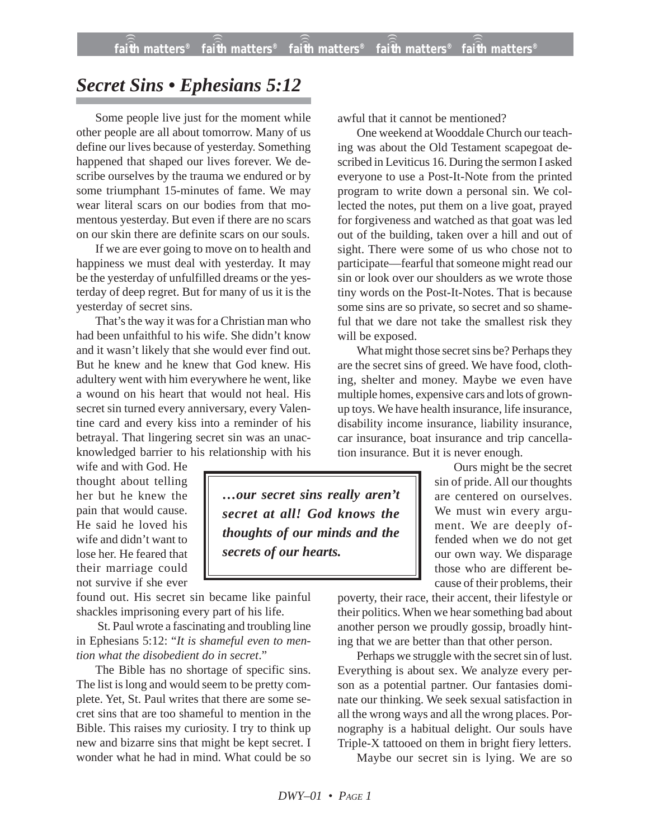## *Secret Sins • Ephesians 5:12*

Some people live just for the moment while other people are all about tomorrow. Many of us define our lives because of yesterday. Something happened that shaped our lives forever. We describe ourselves by the trauma we endured or by some triumphant 15-minutes of fame. We may wear literal scars on our bodies from that momentous yesterday. But even if there are no scars on our skin there are definite scars on our souls.

If we are ever going to move on to health and happiness we must deal with yesterday. It may be the yesterday of unfulfilled dreams or the yesterday of deep regret. But for many of us it is the yesterday of secret sins.

That's the way it was for a Christian man who had been unfaithful to his wife. She didn't know and it wasn't likely that she would ever find out. But he knew and he knew that God knew. His adultery went with him everywhere he went, like a wound on his heart that would not heal. His secret sin turned every anniversary, every Valentine card and every kiss into a reminder of his betrayal. That lingering secret sin was an unacknowledged barrier to his relationship with his

wife and with God. He thought about telling her but he knew the pain that would cause. He said he loved his wife and didn't want to lose her. He feared that their marriage could not survive if she ever

found out. His secret sin became like painful shackles imprisoning every part of his life.

St. Paul wrote a fascinating and troubling line in Ephesians 5:12: "*It is shameful even to mention what the disobedient do in secret*."

The Bible has no shortage of specific sins. The list is long and would seem to be pretty complete. Yet, St. Paul writes that there are some secret sins that are too shameful to mention in the Bible. This raises my curiosity. I try to think up new and bizarre sins that might be kept secret. I wonder what he had in mind. What could be so awful that it cannot be mentioned?

One weekend at Wooddale Church our teaching was about the Old Testament scapegoat described in Leviticus 16. During the sermon I asked everyone to use a Post-It-Note from the printed program to write down a personal sin. We collected the notes, put them on a live goat, prayed for forgiveness and watched as that goat was led out of the building, taken over a hill and out of sight. There were some of us who chose not to participate—fearful that someone might read our sin or look over our shoulders as we wrote those tiny words on the Post-It-Notes. That is because some sins are so private, so secret and so shameful that we dare not take the smallest risk they will be exposed.

What might those secret sins be? Perhaps they are the secret sins of greed. We have food, clothing, shelter and money. Maybe we even have multiple homes, expensive cars and lots of grownup toys. We have health insurance, life insurance, disability income insurance, liability insurance, car insurance, boat insurance and trip cancellation insurance. But it is never enough.

> Ours might be the secret sin of pride. All our thoughts are centered on ourselves. We must win every argument. We are deeply offended when we do not get our own way. We disparage those who are different because of their problems, their

poverty, their race, their accent, their lifestyle or their politics. When we hear something bad about another person we proudly gossip, broadly hinting that we are better than that other person.

Perhaps we struggle with the secret sin of lust. Everything is about sex. We analyze every person as a potential partner. Our fantasies dominate our thinking. We seek sexual satisfaction in all the wrong ways and all the wrong places. Pornography is a habitual delight. Our souls have Triple-X tattooed on them in bright fiery letters.

Maybe our secret sin is lying. We are so

*…our secret sins really aren't secret at all! God knows the thoughts of our minds and the*

*secrets of our hearts.*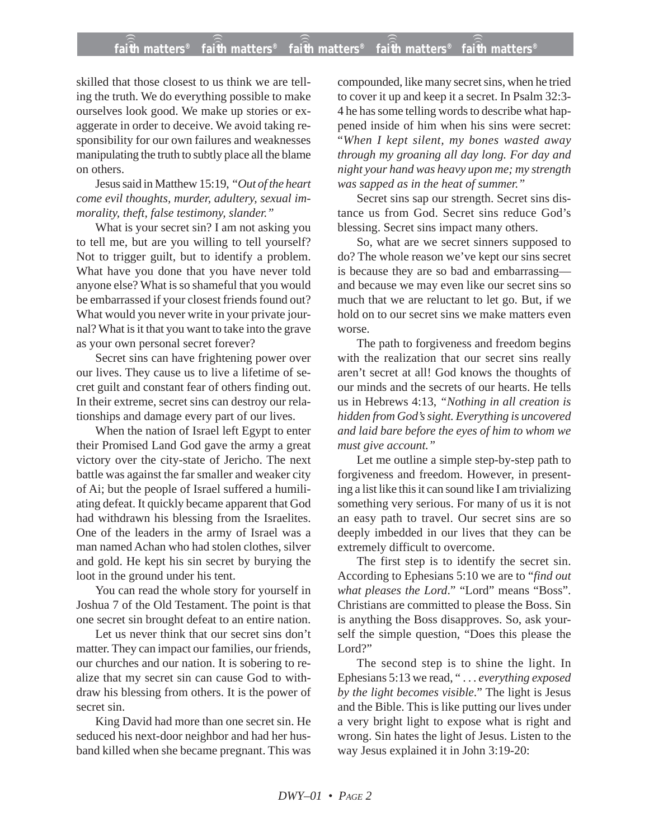## **faith matters® faith matters® faith matters® faith matters® faith matters®** ))) ))) ))) ))) )))

skilled that those closest to us think we are telling the truth. We do everything possible to make ourselves look good. We make up stories or exaggerate in order to deceive. We avoid taking responsibility for our own failures and weaknesses manipulating the truth to subtly place all the blame on others.

Jesus said in Matthew 15:19, *"Out of the heart come evil thoughts, murder, adultery, sexual immorality, theft, false testimony, slander."*

What is your secret sin? I am not asking you to tell me, but are you willing to tell yourself? Not to trigger guilt, but to identify a problem. What have you done that you have never told anyone else? What is so shameful that you would be embarrassed if your closest friends found out? What would you never write in your private journal? What is it that you want to take into the grave as your own personal secret forever?

Secret sins can have frightening power over our lives. They cause us to live a lifetime of secret guilt and constant fear of others finding out. In their extreme, secret sins can destroy our relationships and damage every part of our lives.

When the nation of Israel left Egypt to enter their Promised Land God gave the army a great victory over the city-state of Jericho. The next battle was against the far smaller and weaker city of Ai; but the people of Israel suffered a humiliating defeat. It quickly became apparent that God had withdrawn his blessing from the Israelites. One of the leaders in the army of Israel was a man named Achan who had stolen clothes, silver and gold. He kept his sin secret by burying the loot in the ground under his tent.

You can read the whole story for yourself in Joshua 7 of the Old Testament. The point is that one secret sin brought defeat to an entire nation.

Let us never think that our secret sins don't matter. They can impact our families, our friends, our churches and our nation. It is sobering to realize that my secret sin can cause God to withdraw his blessing from others. It is the power of secret sin.

King David had more than one secret sin. He seduced his next-door neighbor and had her husband killed when she became pregnant. This was

compounded, like many secret sins, when he tried to cover it up and keep it a secret. In Psalm 32:3- 4 he has some telling words to describe what happened inside of him when his sins were secret: "*When I kept silent, my bones wasted away through my groaning all day long. For day and night your hand was heavy upon me; my strength was sapped as in the heat of summer."*

Secret sins sap our strength. Secret sins distance us from God. Secret sins reduce God's blessing. Secret sins impact many others.

So, what are we secret sinners supposed to do? The whole reason we've kept our sins secret is because they are so bad and embarrassing and because we may even like our secret sins so much that we are reluctant to let go. But, if we hold on to our secret sins we make matters even worse.

The path to forgiveness and freedom begins with the realization that our secret sins really aren't secret at all! God knows the thoughts of our minds and the secrets of our hearts. He tells us in Hebrews 4:13, *"Nothing in all creation is hidden from God's sight. Everything is uncovered and laid bare before the eyes of him to whom we must give account."*

Let me outline a simple step-by-step path to forgiveness and freedom. However, in presenting a list like this it can sound like I am trivializing something very serious. For many of us it is not an easy path to travel. Our secret sins are so deeply imbedded in our lives that they can be extremely difficult to overcome.

The first step is to identify the secret sin. According to Ephesians 5:10 we are to "*find out what pleases the Lord*." "Lord" means "Boss". Christians are committed to please the Boss. Sin is anything the Boss disapproves. So, ask yourself the simple question, "Does this please the Lord?"

The second step is to shine the light. In Ephesians 5:13 we read, " . . . *everything exposed by the light becomes visible*." The light is Jesus and the Bible. This is like putting our lives under a very bright light to expose what is right and wrong. Sin hates the light of Jesus. Listen to the way Jesus explained it in John 3:19-20: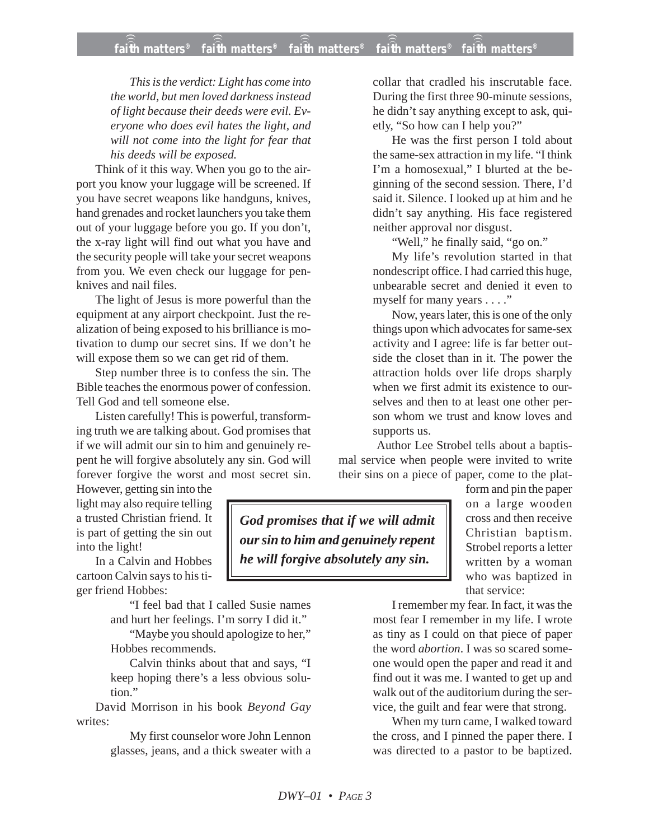*This is the verdict: Light has come into the world, but men loved darkness instead of light because their deeds were evil. Everyone who does evil hates the light, and will not come into the light for fear that his deeds will be exposed.*

Think of it this way. When you go to the airport you know your luggage will be screened. If you have secret weapons like handguns, knives, hand grenades and rocket launchers you take them out of your luggage before you go. If you don't, the x-ray light will find out what you have and the security people will take your secret weapons from you. We even check our luggage for penknives and nail files.

The light of Jesus is more powerful than the equipment at any airport checkpoint. Just the realization of being exposed to his brilliance is motivation to dump our secret sins. If we don't he will expose them so we can get rid of them.

Step number three is to confess the sin. The Bible teaches the enormous power of confession. Tell God and tell someone else.

Listen carefully! This is powerful, transforming truth we are talking about. God promises that if we will admit our sin to him and genuinely repent he will forgive absolutely any sin. God will forever forgive the worst and most secret sin.

However, getting sin into the light may also require telling a trusted Christian friend. It is part of getting the sin out into the light!

In a Calvin and Hobbes cartoon Calvin says to his tiger friend Hobbes:

> "I feel bad that I called Susie names and hurt her feelings. I'm sorry I did it."

> "Maybe you should apologize to her," Hobbes recommends.

> Calvin thinks about that and says, "I keep hoping there's a less obvious solution"

David Morrison in his book *Beyond Gay* writes:

> My first counselor wore John Lennon glasses, jeans, and a thick sweater with a

collar that cradled his inscrutable face. During the first three 90-minute sessions, he didn't say anything except to ask, quietly, "So how can I help you?"

He was the first person I told about the same-sex attraction in my life. "I think I'm a homosexual," I blurted at the beginning of the second session. There, I'd said it. Silence. I looked up at him and he didn't say anything. His face registered neither approval nor disgust.

"Well," he finally said, "go on."

My life's revolution started in that nondescript office. I had carried this huge, unbearable secret and denied it even to myself for many years . . . ."

Now, years later, this is one of the only things upon which advocates for same-sex activity and I agree: life is far better outside the closet than in it. The power the attraction holds over life drops sharply when we first admit its existence to ourselves and then to at least one other person whom we trust and know loves and supports us.

Author Lee Strobel tells about a baptismal service when people were invited to write their sins on a piece of paper, come to the plat-

*God promises that if we will admit our sin to him and genuinely repent he will forgive absolutely any sin.*

form and pin the paper on a large wooden cross and then receive Christian baptism. Strobel reports a letter written by a woman who was baptized in that service:

I remember my fear. In fact, it was the most fear I remember in my life. I wrote as tiny as I could on that piece of paper the word *abortion*. I was so scared someone would open the paper and read it and find out it was me. I wanted to get up and walk out of the auditorium during the service, the guilt and fear were that strong.

When my turn came, I walked toward the cross, and I pinned the paper there. I was directed to a pastor to be baptized.